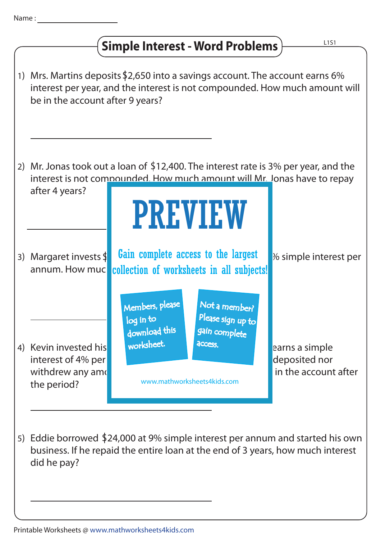## **Simple Interest - Word Problems**